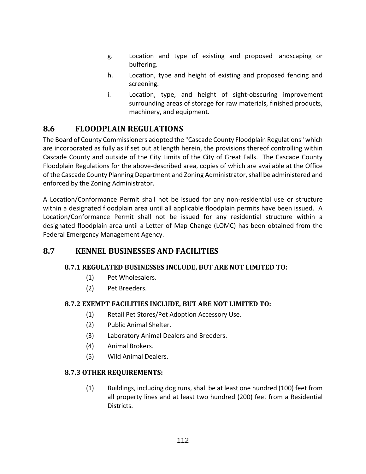- g. Location and type of existing and proposed landscaping or buffering.
- h. Location, type and height of existing and proposed fencing and screening.
- i. Location, type, and height of sight-obscuring improvement surrounding areas of storage for raw materials, finished products, machinery, and equipment.

# **8.6 FLOODPLAIN REGULATIONS**

The Board of County Commissioners adopted the "Cascade County Floodplain Regulations" which are incorporated as fully as if set out at length herein, the provisions thereof controlling within Cascade County and outside of the City Limits of the City of Great Falls. The Cascade County Floodplain Regulations for the above-described area, copies of which are available at the Office of the Cascade County Planning Department and Zoning Administrator, shall be administered and enforced by the Zoning Administrator.

A Location/Conformance Permit shall not be issued for any non-residential use or structure within a designated floodplain area until all applicable floodplain permits have been issued. A Location/Conformance Permit shall not be issued for any residential structure within a designated floodplain area until a Letter of Map Change (LOMC) has been obtained from the Federal Emergency Management Agency.

# **8.7 KENNEL BUSINESSES AND FACILITIES**

# **8.7.1 REGULATED BUSINESSES INCLUDE, BUT ARE NOT LIMITED TO:**

- (1) Pet Wholesalers.
- (2) Pet Breeders.

# **8.7.2 EXEMPT FACILITIES INCLUDE, BUT ARE NOT LIMITED TO:**

- (1) Retail Pet Stores/Pet Adoption Accessory Use.
- (2) Public Animal Shelter.
- (3) Laboratory Animal Dealers and Breeders.
- (4) Animal Brokers.
- (5) Wild Animal Dealers.

# **8.7.3 OTHER REQUIREMENTS:**

(1) Buildings, including dog runs, shall be at least one hundred (100) feet from all property lines and at least two hundred (200) feet from a Residential Districts.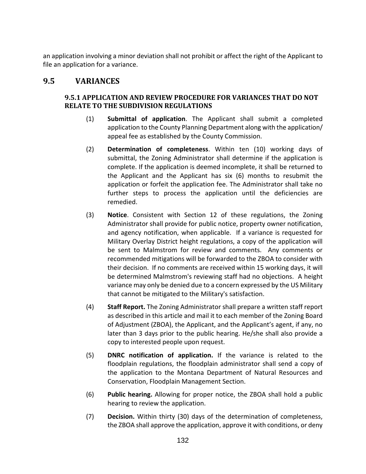an application involving a minor deviation shall not prohibit or affect the right of the Applicant to file an application for a variance.

# **9.5 VARIANCES**

## **9.5.1 APPLICATION AND REVIEW PROCEDURE FOR VARIANCES THAT DO NOT RELATE TO THE SUBDIVISION REGULATIONS**

- (1) **Submittal of application**. The Applicant shall submit a completed application to the County Planning Department along with the application/ appeal fee as established by the County Commission.
- (2) **Determination of completeness**. Within ten (10) working days of submittal, the Zoning Administrator shall determine if the application is complete. If the application is deemed incomplete, it shall be returned to the Applicant and the Applicant has six (6) months to resubmit the application or forfeit the application fee. The Administrator shall take no further steps to process the application until the deficiencies are remedied.
- (3) **Notice**. Consistent with Section 12 of these regulations, the Zoning Administrator shall provide for public notice, property owner notification, and agency notification, when applicable. If a variance is requested for Military Overlay District height regulations, a copy of the application will be sent to Malmstrom for review and comments. Any comments or recommended mitigations will be forwarded to the ZBOA to consider with their decision. If no comments are received within 15 working days, it will be determined Malmstrom's reviewing staff had no objections. A height variance may only be denied due to a concern expressed by the US Military that cannot be mitigated to the Military's satisfaction.
- (4) **Staff Report.** The Zoning Administrator shall prepare a written staff report as described in this article and mail it to each member of the Zoning Board of Adjustment (ZBOA), the Applicant, and the Applicant's agent, if any, no later than 3 days prior to the public hearing. He/she shall also provide a copy to interested people upon request.
- (5) **DNRC notification of application.** If the variance is related to the floodplain regulations, the floodplain administrator shall send a copy of the application to the Montana Department of Natural Resources and Conservation, Floodplain Management Section.
- (6) **Public hearing.** Allowing for proper notice, the ZBOA shall hold a public hearing to review the application.
- (7) **Decision.** Within thirty (30) days of the determination of completeness, the ZBOA shall approve the application, approve it with conditions, or deny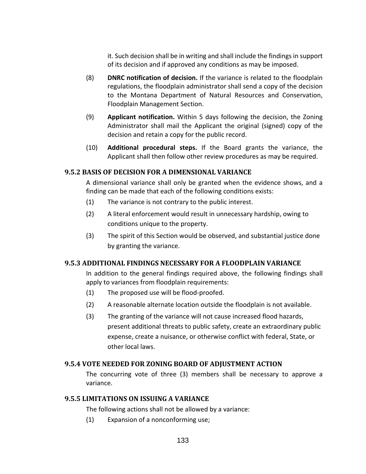it. Such decision shall be in writing and shall include the findings in support of its decision and if approved any conditions as may be imposed.

- (8) **DNRC notification of decision.** If the variance is related to the floodplain regulations, the floodplain administrator shall send a copy of the decision to the Montana Department of Natural Resources and Conservation, Floodplain Management Section.
- (9) **Applicant notification.** Within 5 days following the decision, the Zoning Administrator shall mail the Applicant the original (signed) copy of the decision and retain a copy for the public record.
- (10) **Additional procedural steps.** If the Board grants the variance, the Applicant shall then follow other review procedures as may be required.

### **9.5.2 BASIS OF DECISION FOR A DIMENSIONAL VARIANCE**

A dimensional variance shall only be granted when the evidence shows, and a finding can be made that each of the following conditions exists:

- (1) The variance is not contrary to the public interest.
- (2) A literal enforcement would result in unnecessary hardship, owing to conditions unique to the property.
- (3) The spirit of this Section would be observed, and substantial justice done by granting the variance.

## **9.5.3 ADDITIONAL FINDINGS NECESSARY FOR A FLOODPLAIN VARIANCE**

In addition to the general findings required above, the following findings shall apply to variances from floodplain requirements:

- (1) The proposed use will be flood-proofed.
- (2) A reasonable alternate location outside the floodplain is not available.
- (3) The granting of the variance will not cause increased flood hazards, present additional threats to public safety, create an extraordinary public expense, create a nuisance, or otherwise conflict with federal, State, or other local laws.

#### **9.5.4 VOTE NEEDED FOR ZONING BOARD OF ADJUSTMENT ACTION**

The concurring vote of three (3) members shall be necessary to approve a variance.

#### **9.5.5 LIMITATIONS ON ISSUING A VARIANCE**

The following actions shall not be allowed by a variance:

(1) Expansion of a nonconforming use;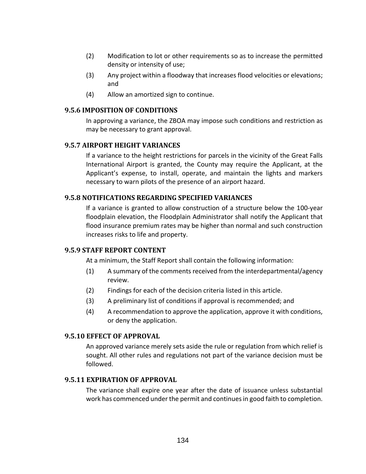- (2) Modification to lot or other requirements so as to increase the permitted density or intensity of use;
- (3) Any project within a floodway that increases flood velocities or elevations; and
- (4) Allow an amortized sign to continue.

#### **9.5.6 IMPOSITION OF CONDITIONS**

In approving a variance, the ZBOA may impose such conditions and restriction as may be necessary to grant approval.

## **9.5.7 AIRPORT HEIGHT VARIANCES**

If a variance to the height restrictions for parcels in the vicinity of the Great Falls International Airport is granted, the County may require the Applicant, at the Applicant's expense, to install, operate, and maintain the lights and markers necessary to warn pilots of the presence of an airport hazard.

### **9.5.8 NOTIFICATIONS REGARDING SPECIFIED VARIANCES**

If a variance is granted to allow construction of a structure below the 100-year floodplain elevation, the Floodplain Administrator shall notify the Applicant that flood insurance premium rates may be higher than normal and such construction increases risks to life and property.

#### **9.5.9 STAFF REPORT CONTENT**

At a minimum, the Staff Report shall contain the following information:

- (1) A summary of the comments received from the interdepartmental/agency review.
- (2) Findings for each of the decision criteria listed in this article.
- (3) A preliminary list of conditions if approval is recommended; and
- (4) A recommendation to approve the application, approve it with conditions, or deny the application.

#### **9.5.10 EFFECT OF APPROVAL**

An approved variance merely sets aside the rule or regulation from which relief is sought. All other rules and regulations not part of the variance decision must be followed.

#### **9.5.11 EXPIRATION OF APPROVAL**

The variance shall expire one year after the date of issuance unless substantial work has commenced under the permit and continues in good faith to completion.